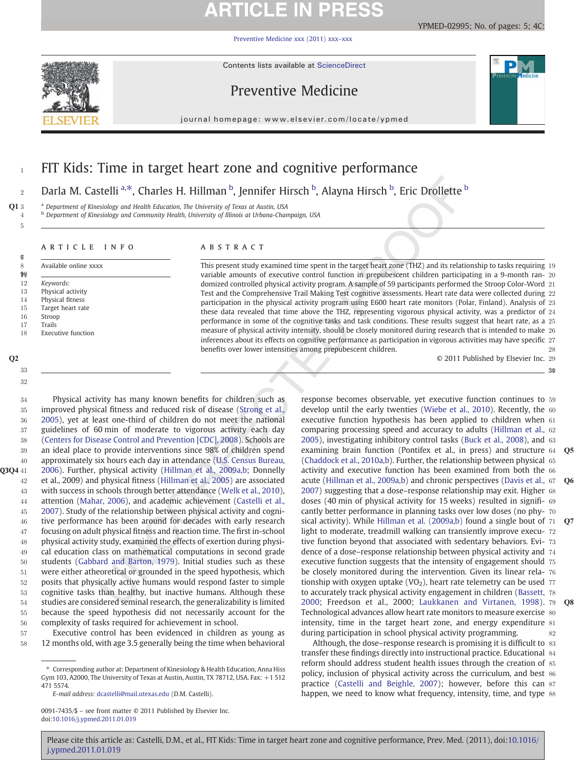# **ARTICLE IN PRES**

[Preventive Medicine xxx \(2011\) xxx](http://dx.doi.org/10.1016/j.ypmed.2011.01.019)–xxx



Contents lists available at [ScienceDirect](http://www.sciencedirect.com/science/journal/00917435)

## Preventive Medicine



YPMED-02995; No. of pages: 5; 4C:

journal homepage: www.elsevier.com/locate/ypmed

## <sup>1</sup> FIT Kids: Time in target heart zone and cognitive performance

2 Darla M. Castelli <sup>a,\*</sup>, Charles H. Hillman <sup>b</sup>, Jennifer Hirsch <sup>b</sup>, Alayna Hirsch <sup>b</sup>, Eric Drollette <sup>b</sup>

Q1 3 <sup>a</sup> Department of Kinesiology and Health Education, The University of Texas at Austin, USA

<sup>b</sup> Department of Kinesiology and Community Health, University of Illinois at Urbana-Champaign, USA

### article info abstract

#### 6 Available online xxxx  $90$ 12 Keywords: 13 Physical activity 14 Physical fitness 15 Target heart rate 16 Stroop 17 Trails 18 Executive function

5

32 33

This present study examined time spent in the target heart zone (THZ) and its relationship to tasks requiring 19 variable amounts of executive control function in prepubescent children participating in a 9-month ran- 20 domized controlled physical activity program. A sample of 59 participants performed the Stroop Color-Word 21 Test and the Comprehensive Trail Making Test cognitive assessments. Heart rate data were collected during 22 participation in the physical activity program using E600 heart rate monitors (Polar, Finland). Analysis of 23 these data revealed that time above the THZ, representing vigorous physical activity, was a predictor of 24 performance in some of the cognitive tasks and task conditions. These results suggest that heart rate, as a 25 measure of physical activity intensity, should be closely monitored during research that is intended to make 26 inferences about its effects on cognitive performance as participation in vigorous activities may have specific 27 benefits over lower intensities among prepubescent children. 28

Q2 © 2011 Published by Elsevier Inc. 29

301

 Physical activity has many known benefits for children such as improved physical fitness and reduced risk of disease [\(Strong et al.,](#page-4-0) [2005\)](#page-4-0), yet at least one-third of children do not meet the national guidelines of 60 min of moderate to vigorous activity each day [\(Centers for Disease Control and Prevention \[CDC\], 2008\)](#page-3-0). Schools are an ideal place to provide interventions since 98% of children spend approximately six hours each day in attendance ([U.S. Census Bureau,](#page-4-0) [2006\)](#page-4-0). Further, physical activity [\(Hillman et al., 2009a,b](#page-3-0); Donnelly et al., 2009) and physical fitness ([Hillman et al., 2005\)](#page-3-0) are associated with success in schools through better attendance [\(Welk et al., 2010](#page-4-0)), attention [\(Mahar, 2006\)](#page-4-0), and academic achievement [\(Castelli et al.,](#page-3-0) [2007\)](#page-3-0). Study of the relationship between physical activity and cogni- tive performance has been around for decades with early research focusing on adult physical fitness and reaction time. The first in-school physical activity study, examined the effects of exertion during physi- cal education class on mathematical computations in second grade students ([Gabbard and Barton, 1979\)](#page-3-0). Initial studies such as these were either atheoretical or grounded in the speed hypothesis, which posits that physically active humans would respond faster to simple cognitive tasks than healthy, but inactive humans. Although these studies are considered seminal research, the generalizability is limited because the speed hypothesis did not necessarily account for the complexity of tasks required for achievement in school. Q3Q4 41

57 Executive control has been evidenced in children as young as 58 12 months old, with age 3.5 generally being the time when behavioral

E-mail address: [dcastelli@mail.utexas.edu](mailto:dcastelli@mail.utexas.edu) (D.M. Castelli).

0091-7435/\$ – see front matter © 2011 Published by Elsevier Inc. doi:[10.1016/j.ypmed.2011.01.019](http://dx.doi.org/10.1016/j.ypmed.2011.01.019)

response becomes observable, yet executive function continues to 59 develop until the early twenties ([Wiebe et al., 2010](#page-4-0)). Recently, the 60 executive function hypothesis has been applied to children when 61 comparing processing speed and accuracy to adults [\(Hillman et al.,](#page-3-0) 62 [2005\)](#page-3-0), investigating inhibitory control tasks ([Buck et al., 2008\)](#page-3-0), and 63 examining brain function (Pontifex et al., in press) and structure 64 Q5 [\(Chaddock et al., 2010a,b](#page-3-0)). Further, the relationship between physical 65 activity and executive function has been examined from both the 66 acute ([Hillman et al., 2009a,b\)](#page-3-0) and chronic perspectives [\(Davis et al.,](#page-3-0) 67 Q6 [2007\)](#page-3-0) suggesting that a dose–response relationship may exit. Higher 68 doses (40 min of physical activity for 15 weeks) resulted in signifi- 69 cantly better performance in planning tasks over low doses (no phy- 70 sical activity). While Hillman et al.  $(2009a,b)$  found a single bout of  $71 \text{ }$  Q7 light to moderate, treadmill walking can transiently improve execu- 72 tive function beyond that associated with sedentary behaviors. Evi- 73 dence of a dose–response relationship between physical activity and 74 executive function suggests that the intensity of engagement should 75 be closely monitored during the intervention. Given its linear rela- 76 tionship with oxygen uptake  $(VO<sub>2</sub>)$ , heart rate telemetry can be used  $77$ to accurately track physical activity engagement in children [\(Bassett,](#page-3-0) 78  $2000$ ; Freedson et al.,  $2000$ ; [Laukkanen and Virtanen, 1998](#page-4-0)).  $79$ Technological advances allow heart rate monitors to measure exercise 80 intensity, time in the target heart zone, and energy expenditure 81 during participation in school physical activity programming.  $\qquad \qquad$ 82

Although, the dose–response research is promising it is difficult to 83 transfer these findings directly into instructional practice. Educational 84 reform should address student health issues through the creation of 85 policy, inclusion of physical activity across the curriculum, and best 86 practice [\(Castelli and Beighle, 2007](#page-3-0)); however, before this can 87 happen, we need to know what frequency, intensity, time, and type 88

Please cite this article as: Castelli, D.M., et al., FIT Kids: Time in target heart zone and cognitive performance, Prev. Med. (2011), doi:[10.1016/](http://dx.doi.org/10.1016/j.ypmed.2011.01.019) [j.ypmed.2011.01.019](http://dx.doi.org/10.1016/j.ypmed.2011.01.019)

<sup>⁎</sup> Corresponding author at: Department of Kinesiology & Health Education, Anna Hiss Gym 103, A2000, The University of Texas at Austin, Austin, TX 78712, USA. Fax: +1 512 471 5574.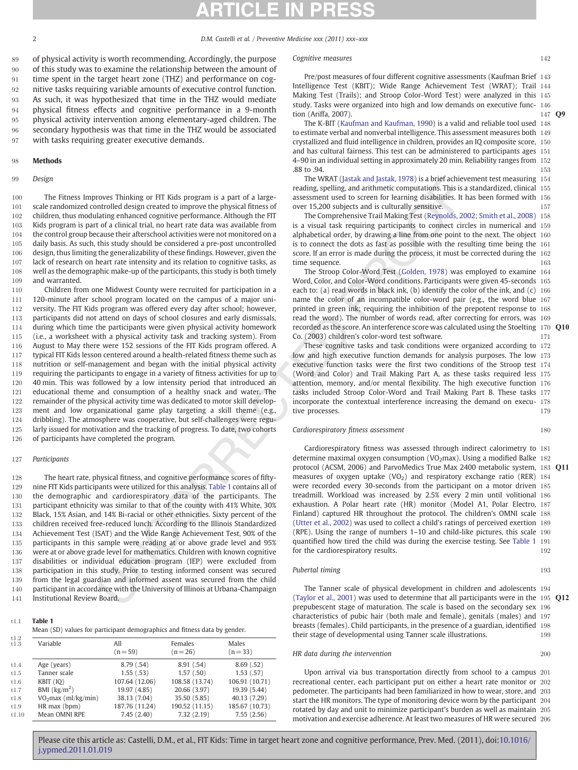of physical activity is worth recommending. Accordingly, the purpose of this study was to examine the relationship between the amount of time spent in the target heart zone (THZ) and performance on cog- nitive tasks requiring variable amounts of executive control function. As such, it was hypothesized that time in the THZ would mediate physical fitness effects and cognitive performance in a 9-month physical activity intervention among elementary-aged children. The secondary hypothesis was that time in the THZ would be associated with tasks requiring greater executive demands.

### 98 Methods

#### 99 Design

 The Fitness Improves Thinking or FIT Kids program is a part of a large-101 scale randomized controlled design created to improve the physical fitness of children, thus modulating enhanced cognitive performance. Although the FIT Kids program is part of a clinical trial, no heart rate data was available from the control group because their afterschool activities were not monitored on a daily basis. As such, this study should be considered a pre-post uncontrolled design, thus limiting the generalizability of these findings. However, given the lack of research on heart rate intensity and its relation to cognitive tasks, as well as the demographic make-up of the participants, this study is both timely and warranted.

 Children from one Midwest County were recruited for participation in a 120-minute after school program located on the campus of a major uni- versity. The FIT Kids program was offered every day after school; however, participants did not attend on days of school closures and early dismissals, during which time the participants were given physical activity homework (i.e., a worksheet with a physical activity task and tracking system). From August to May there were 152 sessions of the FIT Kids program offered. A typical FIT Kids lesson centered around a health-related fitness theme such as nutrition or self-management and began with the initial physical activity requiring the participants to engage in a variety of fitness activities for up to 40 min. This was followed by a low intensity period that introduced an educational theme and consumption of a healthy snack and water. The remainder of the physical activity time was dedicated to motor skill develop- ment and low organizational game play targeting a skill theme (e.g., dribbling). The atmosphere was cooperative, but self-challenges were regu-125 larly issued for motivation and the tracking of progress. To date, two cohorts of participants have completed the program.

### 127 Participants

 The heart rate, physical fitness, and cognitive performance scores of fifty- nine FIT Kids participants were utilized for this analysis. Table 1 contains all of the demographic and cardiorespiratory data of the participants. The participant ethnicity was similar to that of the county with 41% White, 30% Black, 15% Asian, and 14% Bi-racial or other ethnicities. Sixty percent of the children received free-reduced lunch. According to the Illinois Standardized Achievement Test (ISAT) and the Wide Range Achievement Test, 90% of the participants in this sample were reading at or above grade level and 95% were at or above grade level for mathematics. Children with known cognitive disabilities or individual education program (IEP) were excluded from participation in this study. Prior to testing informed consent was secured from the legal guardian and informed assent was secured from the child participant in accordance with the University of Illinois at Urbana-Champaign Institutional Review Board.

#### t1:1 Table 1

Mean (SD) values for participant demographics and fitness data by gender.

| Variable                          | All<br>$(n = 59)$ | Females<br>$(n=26)$ | Males<br>$(n=33)$ |
|-----------------------------------|-------------------|---------------------|-------------------|
| Age (years)                       | 8.79(.54)         | 8.91(.54)           | 8.69(.52)         |
| Tanner scale                      | 1.55(.53)         | 1.57(.50)           | 1.53(.57)         |
| KBIT (IQ)                         | 107.64 (12.06)    | 108.58 (13.74)      | 106.91 (10.71)    |
| BMI $\left(\frac{kg}{m^2}\right)$ | 19.97 (4.85)      | 20.66 (3.97)        | 19.39 (5.44)      |
| VO <sub>2</sub> max (ml/kg/min)   | 38.13 (7.04)      | 35.50 (5.85)        | 40.13 (7.29)      |
| $HR$ max $(bpm)$                  | 187.76 (11.24)    | 190.52 (11.15)      | 185.67 (10.73)    |
| Mean OMNI RPE                     | 7.45(2.40)        | 7.32(2.19)          | 7.55(2.56)        |

Cognitive measures 142

Pre/post measures of four different cognitive assessments (Kaufman Brief 143 Intelligence Test (KBIT); Wide Range Achievement Test (WRAT); Trail 144 Making Test (Trails); and Stroop Color-Word Test) were analyzed in this 145 study. Tasks were organized into high and low demands on executive func- 146 tion (Ariffa, 2007). 147 Q9

The K-BIT ([Kaufman and Kaufman, 1990](#page-3-0)) is a valid and reliable tool used 148 to estimate verbal and nonverbal intelligence. This assessment measures both 149 crystallized and fluid intelligence in children, provides an IQ composite score, 150 and has cultural fairness. This test can be administered to participants ages 151 4–90 in an individual setting in approximately 20 min. Reliability ranges from 152 .88 to .94. 153

The WRAT ([Jastak and Jastak, 1978\)](#page-3-0) is a brief achievement test measuring 154 reading, spelling, and arithmetic computations. This is a standardized, clinical 155 assessment used to screen for learning disabilities. It has been formed with 156 over 15,200 subjects and is culturally sensitive. 157

The Comprehensive Trail Making Test [\(Reynolds, 2002; Smith et al., 2008\)](#page-4-0) 158 is a visual task requiring participants to connect circles in numerical and 159 alphabetical order, by drawing a line from one point to the next. The object 160 is to connect the dots as fast as possible with the resulting time being the 161 score. If an error is made during the process, it must be corrected during the 162 time sequence. 163

The Stroop Color-Word Test ([Golden, 1978](#page-3-0)) was employed to examine 164 Word, Color, and Color-Word conditions. Participants were given 45-seconds 165 each to: (a) read words in black ink, (b) identify the color of the ink, and (c) 166 name the color of an incompatible color-word pair (e.g., the word blue 167 printed in green ink; requiring the inhibition of the prepotent response to 168 read the word). The number of words read, after correcting for errors, was 169 recorded as the score. An interference score was calculated using the Stoelting 170 Q10 Co. (2003) children's color-word test software. 171

These cognitive tasks and task conditions were organized according to 172 low and high executive function demands for analysis purposes. The low 173 executive function tasks were the first two conditions of the Stroop test 174 (Word and Color) and Trail Making Part A, as these tasks required less 175 attention, memory, and/or mental flexibility. The high executive function 176 tasks included Stroop Color-Word and Trail Making Part B. These tasks 177 incorporate the contextual interference increasing the demand on execu- 178 tive processes. 179

#### Cardiorespiratory fitness assessment 180

Cardiorespiratory fitness was assessed through indirect calorimetry to 181 determine maximal oxygen consumption (VO<sub>2</sub>max). Using a modified Balke  $182$ protocol (ACSM, 2006) and ParvoMedics True Max 2400 metabolic system, 183 Q11 measures of oxygen uptake  $(VO<sub>2</sub>)$  and respiratory exchange ratio (RER) 184 were recorded every 30-seconds from the participant on a motor driven 185 treadmill. Workload was increased by 2.5% every 2 min until volitional 186 exhaustion. A Polar heart rate (HR) monitor (Model A1, Polar Electro, 187 Finland) captured HR throughout the protocol. The children's OMNI scale 188 ([Utter et al., 2002\)](#page-4-0) was used to collect a child's ratings of perceived exertion 189 (RPE). Using the range of numbers 1–10 and child-like pictures, this scale 190 quantified how tired the child was during the exercise testing. See Table 1 191 for the cardiorespiratory results. 192

### Pubertal timing 193

The Tanner scale of physical development in children and adolescents 194 ([Taylor et al., 2001](#page-4-0)) was used to determine that all participants were in the 195 Q12 prepubescent stage of maturation. The scale is based on the secondary sex 196 characteristics of pubic hair (both male and female), genitals (males) and 197 breasts (females). Child participants, in the presence of a guardian, identified 198 their stage of developmental using Tanner scale illustrations. 199

#### HR data during the intervention 200

Upon arrival via bus transportation directly from school to a campus 201 recreational center, each participant put on either a heart rate monitor or 202 pedometer. The participants had been familiarized in how to wear, store, and 203 start the HR monitors. The type of monitoring device worn by the participant 204 rotated by day and unit to minimize participant's burden as well as maintain 205 motivation and exercise adherence. At least two measures of HR were secured 206

Please cite this article as: Castelli, D.M., et al., FIT Kids: Time in target heart zone and cognitive performance, Prev. Med. (2011), doi:[10.1016/](http://dx.doi.org/10.1016/j.ypmed.2011.01.019) [j.ypmed.2011.01.019](http://dx.doi.org/10.1016/j.ypmed.2011.01.019)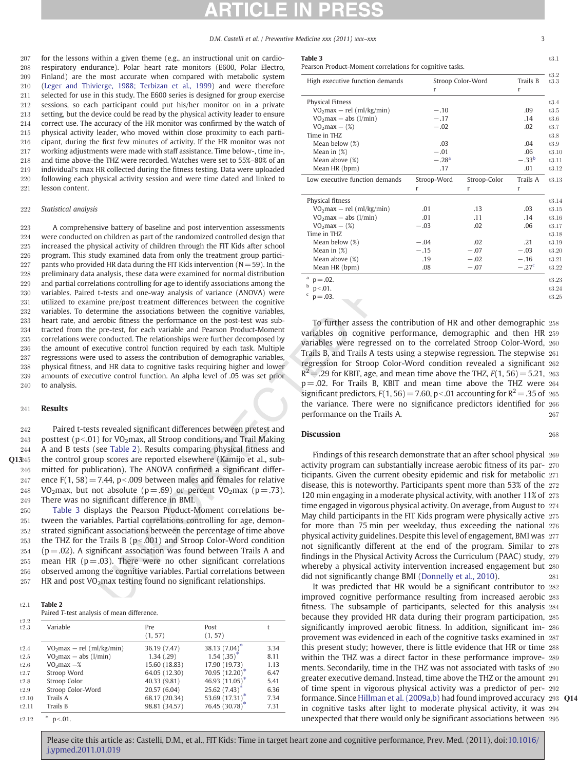for the lessons within a given theme (e.g., an instructional unit on cardio- respiratory endurance). Polar heart rate monitors (E600, Polar Electro, Finland) are the most accurate when compared with metabolic system ([Leger and Thivierge, 1988; Terbizan et al., 1999](#page-4-0)) and were therefore selected for use in this study. The E600 series is designed for group exercise sessions, so each participant could put his/her monitor on in a private setting, but the device could be read by the physical activity leader to ensure correct use. The accuracy of the HR monitor was confirmed by the watch of physical activity leader, who moved within close proximity to each parti- cipant, during the first few minutes of activity. If the HR monitor was not working adjustments were made with staff assistance. Time below-, time in-, and time above-the THZ were recorded. Watches were set to 55%–80% of an individual's max HR collected during the fitness testing. Data were uploaded following each physical activity session and were time dated and linked to lesson content.

#### 222 Statistical analysis

 A comprehensive battery of baseline and post intervention assessments were conducted on children as part of the randomized controlled design that increased the physical activity of children through the FIT Kids after school program. This study examined data from only the treatment group partici-227 pants who provided HR data during the FIT Kids intervention  $(N = 59)$ . In the preliminary data analysis, these data were examined for normal distribution and partial correlations controlling for age to identify associations among the variables. Paired t-tests and one-way analysis of variance (ANOVA) were utilized to examine pre/post treatment differences between the cognitive variables. To determine the associations between the cognitive variables, heart rate, and aerobic fitness the performance on the post-test was sub- tracted from the pre-test, for each variable and Pearson Product-Moment correlations were conducted. The relationships were further decomposed by the amount of executive control function required by each task. Multiple regressions were used to assess the contribution of demographic variables, physical fitness, and HR data to cognitive tasks requiring higher and lower amounts of executive control function. An alpha level of .05 was set prior 240 to analysis.

#### 241 Results

242 Paired t-tests revealed significant differences between pretest and 243 posttest ( $p<0.01$ ) for VO<sub>2</sub>max, all Stroop conditions, and Trail Making 244 A and B tests (see Table 2). Results comparing physical fitness and Q1345 the control group scores are reported elsewhere (Kamijo et al., sub-246 mitted for publication). The ANOVA confirmed a significant differ-247 ence  $F(1, 58) = 7.44$ , p<.009 between males and females for relative 248 VO<sub>2</sub>max, but not absolute ( $p = .69$ ) or percent VO<sub>2</sub>max ( $p = .73$ ). 249 There was no significant difference in BMI.

 Table 3 displays the Pearson Product-Moment correlations be- tween the variables. Partial correlations controlling for age, demon- strated significant associations between the percentage of time above 253 the THZ for the Trails B ( $p<0.001$ ) and Stroop Color-Word condition ( $p=.02$ ). A significant association was found between Trails A and 255 mean HR ( $p = .03$ ). There were no other significant correlations observed among the cognitive variables. Partial correlations between 257 HR and post  $VO<sub>2</sub>$  max testing found no significant relationships.

| <b>Table 2</b><br>$+2.1$ |
|--------------------------|
|--------------------------|

Paired T-test analysis of mean difference.

| Variable                   | Pre           | Post             |
|----------------------------|---------------|------------------|
|                            | (1, 57)       | (1, 57)          |
| $VO2max - rel (ml/kg/min)$ | 36.19 (7.47)  | 38.13 $(7.04)^*$ |
| $VO2max - abs (l/min)$     | 1.34(.29)     | 1.54(.35)        |
| VO <sub>2</sub> max –%     | 15.60 (18.83) | 17.90 (19.73)    |
| Stroop Word                | 64.05 (12.30) | $70.95(12.20)^*$ |
| Stroop Color               | 40.33 (9.81)  | 46.93 (11.05)    |
| Stroop Color-Word          | 20.57 (6.04)  | 25.62 (7.43)     |
| Trails A                   | 68.17 (20.34) | 53.69 (17.31)    |
| Trails B                   | 98.81 (34.57) | 76.45 (30.78)*   |

| Table 3 |  |
|---------|--|
|         |  |

Pearson Product-Moment correlations for cognitive tasks.

| High executive function demands | Stroop Color-Word |              | Trails B |
|---------------------------------|-------------------|--------------|----------|
|                                 | r                 |              | $\Gamma$ |
| <b>Physical Fitness</b>         |                   |              |          |
| $VO2max - rel (ml/kg/min)$      | $-.10$            |              | .09      |
| $VO2max - abs (l/min)$          | $-.17$            |              | .14      |
| $VO2max - (%)$                  | $-.02$            |              | .02      |
| Time in THZ                     |                   |              |          |
| Mean below (%)                  | .03               |              | .04      |
| Mean in $(\%)$                  | $-.01$            |              | .06      |
| Mean above (%)                  | $-.28a$           |              | $-.33^b$ |
| Mean HR (bpm)                   | .17               |              | .01      |
| Low executive function demands  | Stroop-Word       | Stroop-Color | Trails A |
|                                 | r                 | r            | $\Gamma$ |
| Physical fitness                |                   |              |          |
| $VO2max - rel (ml/kg/min)$      | .01               | .13          | .03      |
| $VO2max - abs (l/min)$          | .01               | .11          | .14      |
| VO <sub>2</sub> max – (%)       | $-.03$            | .02          | .06      |
| Time in THZ                     |                   |              |          |
| Mean below (%)                  | $-.04$            | .02          | .21      |
| Mean in $(\%)$                  | $-.15$            | $-.07$       | $-.03$   |
| Mean above (%)                  | .19               | $-.02$       | $-.16$   |
| Mean HR (bpm)                   | .08               | $-.07$       | $-.27c$  |
| $p = .02$ .                     |                   |              |          |
| b<br>$p < .01$ .                |                   |              |          |
| $p = .03$ .                     |                   |              |          |
|                                 |                   |              |          |

To further assess the contribution of HR and other demographic 258 variables on cognitive performance, demographic and then HR 259 variables were regressed on to the correlated Stroop Color-Word, 260 Trails B, and Trails A tests using a stepwise regression. The stepwise 261 regression for Stroop Color-Word condition revealed a significant 262  $R^2 = .29$  for KBIT, age, and mean time above the THZ,  $F(1, 56) = 5.21$ , 263  $p = .02$ . For Trails B, KBIT and mean time above the THZ were  $264$ significant predictors,  $F(1, 56) = 7.60$ , p $< .01$  accounting for R<sup>2</sup> = .35 of 265 the variance. There were no significance predictors identified for 266 performance on the Trails A. 267

#### Discussion 268

Findings of this research demonstrate that an after school physical 269 activity program can substantially increase aerobic fitness of its par- 270 ticipants. Given the current obesity epidemic and risk for metabolic 271 disease, this is noteworthy. Participants spent more than 53% of the 272 120 min engaging in a moderate physical activity, with another 11% of 273 time engaged in vigorous physical activity. On average, from August to 274 May child participants in the FIT Kids program were physically active 275 for more than 75 min per weekday, thus exceeding the national 276 physical activity guidelines. Despite this level of engagement, BMI was 277 not significantly different at the end of the program. Similar to 278 findings in the Physical Activity Across the Curriculum (PAAC) study, 279 whereby a physical activity intervention increased engagement but 280 did not significantly change BMI [\(Donnelly et al., 2010\)](#page-3-0). 281

It was predicted that HR would be a significant contributor to 282 improved cognitive performance resulting from increased aerobic 283 fitness. The subsample of participants, selected for this analysis 284 because they provided HR data during their program participation, 285 significantly improved aerobic fitness. In addition, significant im- 286 provement was evidenced in each of the cognitive tasks examined in 287 this present study; however, there is little evidence that HR or time 288 within the THZ was a direct factor in these performance improve- 289 ments. Secondarily, time in the THZ was not associated with tasks of 290 greater executive demand. Instead, time above the THZ or the amount 291 of time spent in vigorous physical activity was a predictor of per- 292 formance. Since [Hillman et al. \(2009a,b\)](#page-3-0) had found improved accuracy 293 Q14 in cognitive tasks after light to moderate physical activity, it was 294 unexpected that there would only be significant associations between 295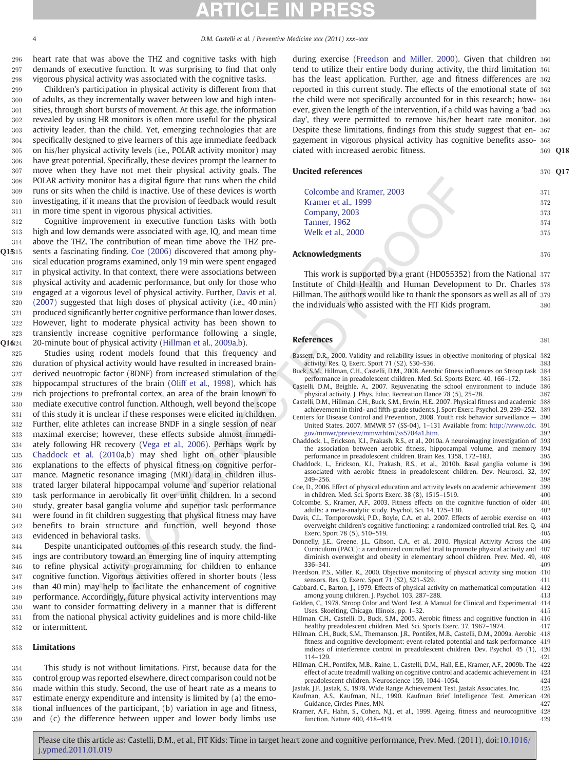<span id="page-3-0"></span>

296 heart rate that was above the THZ and cognitive tasks with high 297 demands of executive function. It was surprising to find that only 298 vigorous physical activity was associated with the cognitive tasks.

 Children's participation in physical activity is different from that of adults, as they incrementally waver between low and high inten- sities, through short bursts of movement. At this age, the information revealed by using HR monitors is often more useful for the physical activity leader, than the child. Yet, emerging technologies that are specifically designed to give learners of this age immediate feedback on his/her physical activity levels (i.e., POLAR activity monitor) may have great potential. Specifically, these devices prompt the learner to move when they have not met their physical activity goals. The POLAR activity monitor has a digital figure that runs when the child runs or sits when the child is inactive. Use of these devices is worth investigating, if it means that the provision of feedback would result in more time spent in vigorous physical activities.

 Cognitive improvement in executive function tasks with both high and low demands were associated with age, IQ, and mean time above the THZ. The contribution of mean time above the THZ pre-1315 sents a fascinating finding. Coe (2006) discovered that among phy- sical education programs examined, only 19 min were spent engaged in physical activity. In that context, there were associations between physical activity and academic performance, but only for those who engaged at a vigorous level of physical activity. Further, Davis et al. (2007) suggested that high doses of physical activity (i.e., 40 min) produced significantly better cognitive performance than lower doses. However, light to moderate physical activity has been shown to transiently increase cognitive performance following a single, 1624 20-minute bout of physical activity (Hillman et al., 2009a,b).

 Studies using rodent models found that this frequency and duration of physical activity would have resulted in increased brain- derived neuotropic factor (BDNF) from increased stimulation of the hippocampal structures of the brain [\(Oliff et al., 1998\)](#page-4-0), which has rich projections to prefrontal cortex, an area of the brain known to mediate executive control function. Although, well beyond the scope of this study it is unclear if these responses were elicited in children. Further, elite athletes can increase BNDF in a single session of near maximal exercise; however, these effects subside almost immedi- ately following HR recovery ([Vega et al., 2006](#page-4-0)). Perhaps work by Chaddock et al. (2010a,b) may shed light on other plausible explanations to the effects of physical fitness on cognitive perfor- mance. Magnetic resonance imaging (MRI) data in children illus- trated larger bilateral hippocampal volume and superior relational task performance in aerobically fit over unfit children. In a second study, greater basal ganglia volume and superior task performance were found in fit children suggesting that physical fitness may have benefits to brain structure and function, well beyond those evidenced in behavioral tasks.

 Despite unanticipated outcomes of this research study, the find- ings are contributory toward an emerging line of inquiry attempting to refine physical activity programming for children to enhance cognitive function. Vigorous activities offered in shorter bouts (less than 40 min) may help to facilitate the enhancement of cognitive performance. Accordingly, future physical activity interventions may want to consider formatting delivery in a manner that is different from the national physical activity guidelines and is more child-like or intermittent.

### 353 Limitations

 This study is not without limitations. First, because data for the control group was reported elsewhere, direct comparison could not be made within this study. Second, the use of heart rate as a means to estimate energy expenditure and intensity is limited by (a) the emo- tional influences of the participant, (b) variation in age and fitness, and (c) the difference between upper and lower body limbs use during exercise (Freedson and Miller, 2000). Given that children 360 tend to utilize their entire body during activity, the third limitation 361 has the least application. Further, age and fitness differences are 362 reported in this current study. The effects of the emotional state of 363 the child were not specifically accounted for in this research; how- 364 ever, given the length of the intervention, if a child was having a 'bad 365 day', they were permitted to remove his/her heart rate monitor. 366 Despite these limitations, findings from this study suggest that en- 367 gagement in vigorous physical activity has cognitive benefits asso- 368 ciated with increased aerobic fitness. 369 Q18

# Uncited references 370 Q17

| Colcombe and Kramer, 2003 | 371 |
|---------------------------|-----|
| Kramer et al., 1999       | 372 |
| Company, 2003             | 373 |
| <b>Tanner, 1962</b>       | 374 |
| Welk et al., 2000         | 375 |
|                           |     |

### **Acknowledgments** 376

This work is supported by a grant (HD055352) from the National 377 Institute of Child Health and Human Development to Dr. Charles 378 Hillman. The authors would like to thank the sponsors as well as all of 379 the individuals who assisted with the FIT Kids program. 380

### **References** 381

| Bassett, D.R., 2000. Validity and reliability issues in objective monitoring of physical 382                                                   |     |
|------------------------------------------------------------------------------------------------------------------------------------------------|-----|
| activity. Res. Q. Exerc. Sport 71 (S2), S30-S36.                                                                                               | 383 |
| Buck, S.M., Hillman, C.H., Castelli, D.M., 2008. Aerobic fitness influences on Stroop task 384                                                 |     |
| performance in preadolescent children. Med. Sci. Sports Exerc. 40, 166-172.                                                                    | 385 |
| Castelli, D.M., Beighle, A., 2007. Rejuvenating the school environment to include 386                                                          |     |
| physical activity. J. Phys. Educ. Recreation Dance 78 (5), 25–28.                                                                              | 387 |
| Castelli, D.M., Hillman, C.H., Buck, S.M., Erwin, H.E., 2007. Physical fitness and academic 388                                                |     |
| achievement in third- and fifth-grade students. J. Sport Exerc. Psychol. 29, 239-252. 389                                                      |     |
| Centers for Disease Control and Prevention, 2008. Youth risk behavior surveillance -                                                           | 390 |
| United States, 2007. MMWR 57 (SS-04), 1-131 Available from: http://www.cdc.                                                                    | 391 |
| gov/mmwr/preview/mmwrhtml/ss5704a1.htm.                                                                                                        | 392 |
| Chaddock, L., Erickson, K.I., Prakash, R.S., et al., 2010a. A neuroimaging investigation of 393                                                |     |
| the association between aerobic fitness, hippocampal volume, and memory                                                                        | 394 |
| performance in preadolescent children, Brain Res, 1358, 172–183.                                                                               | 395 |
| Chaddock, L., Erickson, K.I., Prakash, R.S., et al., 2010b. Basal ganglia volume is 396                                                        |     |
| associated with aerobic fitness in preadolescent children. Dev. Neurosci. 32, 397                                                              |     |
| 249-256.                                                                                                                                       | 398 |
| Coe, D., 2006. Effect of physical education and activity levels on academic achievement 399                                                    |     |
| in children. Med. Sci. Sports Exerc. 38 (8), 1515-1519.                                                                                        | 400 |
| Colcombe, S., Kramer, A.F., 2003. Fitness effects on the cognitive function of older 401                                                       |     |
| adults: a meta-analytic study. Psychol. Sci. 14, 125-130.                                                                                      | 402 |
| Davis, C.L., Tomporowski, P.D., Boyle, C.A., et al., 2007. Effects of aerobic exercise on 403                                                  |     |
| overweight children's cognitive functioning: a randomized controlled trial. Res. Q.                                                            | 404 |
| Exerc. Sport 78 (5), 510-519.                                                                                                                  | 405 |
| Donnelly, J.E., Greene, J.L., Gibson, C.A., et al., 2010. Physical Activity Across the 406                                                     |     |
| Curriculum (PACC): a randomized controlled trial to promote physical activity and                                                              | 407 |
| diminish overweight and obesity in elementary school children. Prev. Med. 49,<br>336-341.                                                      | 408 |
|                                                                                                                                                | 409 |
| Freedson, P.S., Miller, K., 2000. Objective monitoring of physical activity sing motion 410<br>sensors. Res. Q. Exerc. Sport 71 (S2), S21-S29. | 411 |
| Gabbard, C., Barton, J., 1979. Effects of physical activity on mathematical computation 412                                                    |     |
| among young children. J. Psychol. 103, 287-288.                                                                                                | 413 |
| Golden, C., 1978. Stroop Color and Word Test. A Manual for Clinical and Experimental 414                                                       |     |
| Uses, Skoelting, Chicago, Illinois, pp. 1–32.                                                                                                  | 415 |
| Hillman, C.H., Castelli, D., Buck, S.M., 2005. Aerobic fitness and cognitive function in 416                                                   |     |
| healthy preadolescent children. Med. Sci. Sports Exerc. 37, 1967-1974.                                                                         | 417 |
| Hillman, C.H., Buck, S.M., Themanson, J.R., Pontifex, M.B., Castelli, D.M., 2009a. Aerobic 418                                                 |     |
| fitness and cognitive development: event-related potential and task performance 419                                                            |     |
| indices of interference control in preadolescent children. Dev. Psychol. 45 (1), 420                                                           |     |
| 114-129.                                                                                                                                       | 421 |
| Hillman, C.H., Pontifex, M.B., Raine, L., Castelli, D.M., Hall, E.E., Kramer, A.F., 2009b. The 422                                             |     |
| effect of acute treadmill walking on cognitive control and academic achievement in 423                                                         |     |
| preadolescent children. Neuroscience 159, 1044-1054.                                                                                           | 424 |
| Jastak, J.F., Jastak, S., 1978. Wide Range Achievement Test. Jastak Associates, Inc.                                                           | 425 |
| Kaufman, A.S., Kaufman, N.L., 1990. Kaufman Brief Intelligence Test. American 426                                                              |     |
| Guidance, Circles Pines, MN.                                                                                                                   | 427 |
| Kramer, A.F., Hahn, S., Cohen, N.J., et al., 1999. Ageing, fitness and neurocognitive 428                                                      |     |
| function. Nature 400, 418-419.                                                                                                                 | 429 |
|                                                                                                                                                |     |

Please cite this article as: Castelli, D.M., et al., FIT Kids: Time in target heart zone and cognitive performance, Prev. Med. (2011), doi:[10.1016/](http://dx.doi.org/10.1016/j.ypmed.2011.01.019) [j.ypmed.2011.01.019](http://dx.doi.org/10.1016/j.ypmed.2011.01.019)